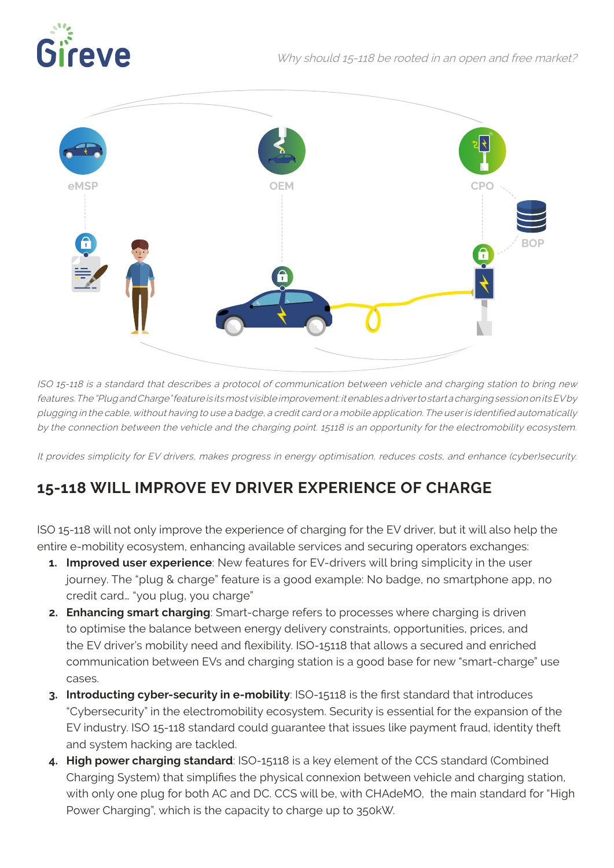



ISO 15-118 is a standard that describes a protocol of communication between vehicle and charging station to bring new features. The "Plug and Charge" feature is its most visible improvement: it enables a driver to start a charging session on its EV by plugging in the cable, without having to use a badge, a credit card or a mobile application. The user is identified automatically by the connection between the vehicle and the charging point. 15118 is an opportunity for the electromobility ecosystem.

It provides simplicity for EV drivers, makes progress in energy optimisation, reduces costs, and enhance (cyber)security.

# **15-118 WILL IMPROVE EV DRIVER EXPERIENCE OF CHARGE**

ISO 15-118 will not only improve the experience of charging for the EV driver, but it will also help the entire e-mobility ecosystem, enhancing available services and securing operators exchanges:

- **1. Improved user experience**: New features for EV-drivers will bring simplicity in the user journey. The "plug & charge" feature is a good example: No badge, no smartphone app, no credit card… "you plug, you charge"
- **2. Enhancing smart charging**: Smart-charge refers to processes where charging is driven to optimise the balance between energy delivery constraints, opportunities, prices, and the EV driver's mobility need and flexibility. ISO-15118 that allows a secured and enriched communication between EVs and charging station is a good base for new "smart-charge" use cases.
- **3. Introducting cyber-security in e-mobility**: ISO-15118 is the first standard that introduces "Cybersecurity" in the electromobility ecosystem. Security is essential for the expansion of the EV industry. ISO 15-118 standard could guarantee that issues like payment fraud, identity theft and system hacking are tackled.
- **4. High power charging standard**: ISO-15118 is a key element of the CCS standard (Combined Charging System) that simplifies the physical connexion between vehicle and charging station, with only one plug for both AC and DC. CCS will be, with CHAdeMO, the main standard for "High Power Charging", which is the capacity to charge up to 350kW.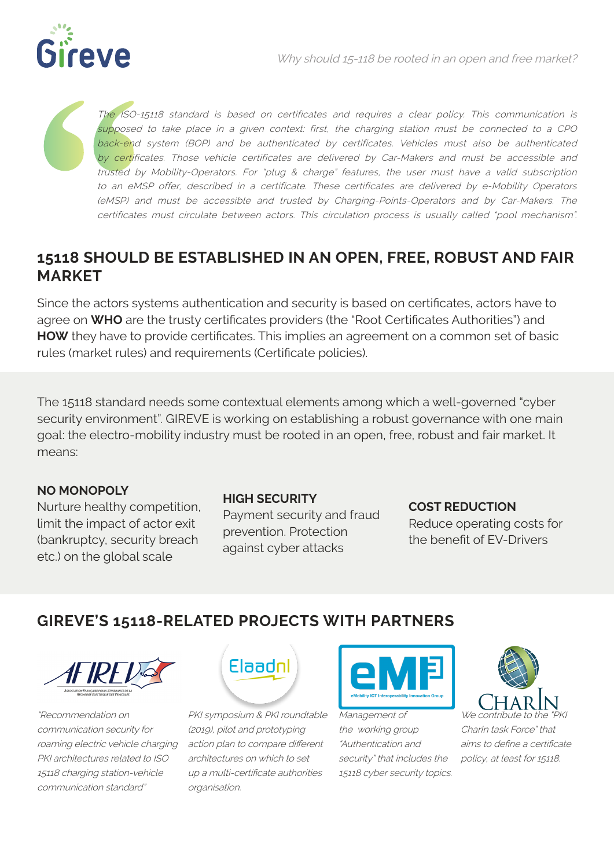

The ISO-15118 standard is based on certificates and requires a clear policy. This communication is supposed to take place in a given context: first, the charging station must be connected to a CPO back-end system (BOP) and be authenticated by certificates. Vehicles must also be authenticated by certificates. Those vehicle certificates are delivered by Car-Makers and must be accessible and trusted by Mobility-Operators. For "plug & charge" features, the user must have a valid subscription to an eMSP offer, described in a certificate. These certificates are delivered by e-Mobility Operators (eMSP) and must be accessible and trusted by Charging-Points-Operators and by Car-Makers. The certificates must circulate between actors. This circulation process is usually called "pool mechanism".

## **15118 SHOULD BE ESTABLISHED IN AN OPEN, FREE, ROBUST AND FAIR MARKET**

Since the actors systems authentication and security is based on certificates, actors have to agree on **WHO** are the trusty certificates providers (the "Root Certificates Authorities") and **HOW** they have to provide certificates. This implies an agreement on a common set of basic rules (market rules) and requirements (Certificate policies).

The 15118 standard needs some contextual elements among which a well-governed "cyber security environment". GIREVE is working on establishing a robust governance with one main goal: the electro-mobility industry must be rooted in an open, free, robust and fair market. It means:

### **NO MONOPOLY**

Nurture healthy competition, limit the impact of actor exit (bankruptcy, security breach etc.) on the global scale

### **HIGH SECURITY**

Payment security and fraud prevention. Protection against cyber attacks

# **COST REDUCTION**

Reduce operating costs for the benefit of EV-Drivers

## **GIREVE'S 15118-RELATED PROJECTS WITH PARTNERS**



"Recommendation on communication security for roaming electric vehicle charging PKI architectures related to ISO 15118 charging station-vehicle communication standard"



PKI symposium & PKI roundtable (2019), pilot and prototyping action plan to compare different architectures on which to set up a multi-certificate authorities organisation.



Management of the working group "Authentication and security" that includes the 15118 cyber security topics.



CharIn task Force" that aims to define a certificate policy, at least for 15118.